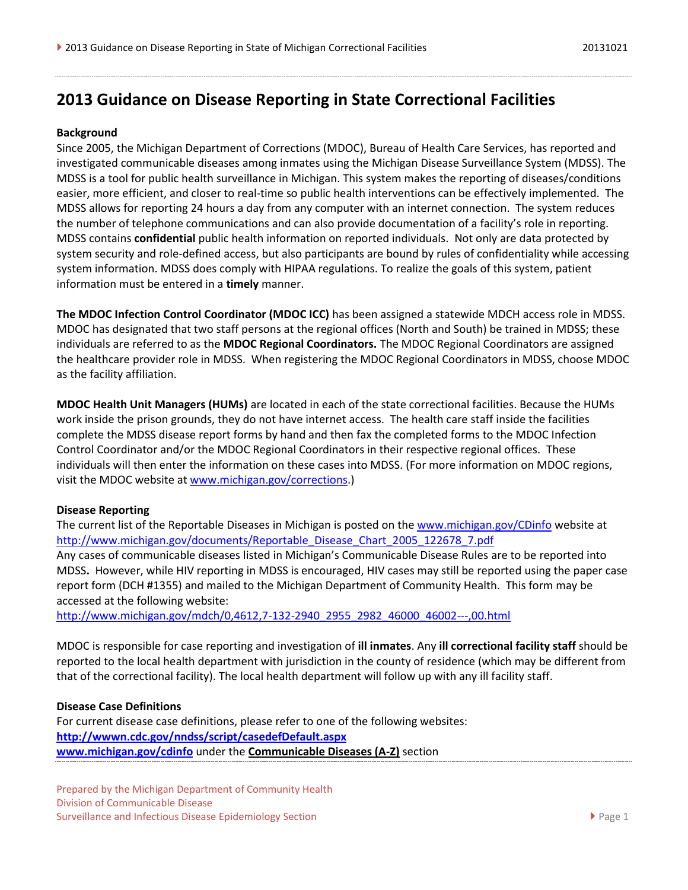# **2013 Guidance on Disease Reporting in State Correctional Facilities**

#### **Background**

Since 2005, the Michigan Department of Corrections (MDOC), Bureau of Health Care Services, has reported and investigated communicable diseases among inmates using the Michigan Disease Surveillance System (MDSS). The MDSS is a tool for public health surveillance in Michigan. This system makes the reporting of diseases/conditions easier, more efficient, and closer to real-time so public health interventions can be effectively implemented. The MDSS allows for reporting 24 hours a day from any computer with an internet connection. The system reduces the number of telephone communications and can also provide documentation of a facility's role in reporting. MDSS contains **confidential** public health information on reported individuals.Not only are data protected by system security and role-defined access, but also participants are bound by rules of confidentiality while accessing system information. MDSS does comply with HIPAA regulations. To realize the goals of this system, patient information must be entered in a **timely** manner.

**The MDOC Infection Control Coordinator (MDOC ICC)** has been assigned a statewide MDCH access role in MDSS. MDOC has designated that two staff persons at the regional offices (North and South) be trained in MDSS; these individuals are referred to as the **MDOC Regional Coordinators.** The MDOC Regional Coordinators are assigned the healthcare provider role in MDSS. When registering the MDOC Regional Coordinators in MDSS, choose MDOC as the facility affiliation.

**MDOC Health Unit Managers (HUMs)** are located in each of the state correctional facilities. Because the HUMs work inside the prison grounds, they do not have internet access. The health care staff inside the facilities complete the MDSS disease report forms by hand and then fax the completed forms to the MDOC Infection Control Coordinator and/or the MDOC Regional Coordinators in their respective regional offices. These individuals will then enter the information on these cases into MDSS. (For more information on MDOC regions, visit the MDOC website at [www.michigan.gov/corrections.](http://www.michigan.gov/corrections))

#### **Disease Reporting**

The current list of the Reportable Diseases in Michigan is posted on the [www.michigan.gov/CDinfo](http://www.michigan.gov/CDinfo) website at [http://www.michigan.gov/documents/Reportable\\_Disease\\_Chart\\_2005\\_122678\\_7.pdf](http://www.michigan.gov/documents/Reportable_Disease_Chart_2005_122678_7.pdf) Any cases of communicable diseases listed in Michigan's Communicable Disease Rules are to be reported into MDSS**.** However, while HIV reporting in MDSS is encouraged, HIV cases may still be reported using the paper case report form (DCH #1355) and mailed to the Michigan Department of Community Health. This form may be accessed at the following website:

[http://www.michigan.gov/mdch/0,4612,7-132-2940\\_2955\\_2982\\_46000\\_46002---,00.html](http://www.michigan.gov/mdch/0,4612,7-132-2940_2955_2982_46000_46002---,00.html)

MDOC is responsible for case reporting and investigation of **ill inmates**. Any **ill correctional facility staff** should be reported to the local health department with jurisdiction in the county of residence (which may be different from that of the correctional facility). The local health department will follow up with any ill facility staff.

#### **Disease Case Definitions**

For current disease case definitions, please refer to one of the following websites: **<http://wwwn.cdc.gov/nndss/script/casedefDefault.aspx> [www.michigan.gov/cdinfo](http://www.michigan.gov/cdinfo)** under the **[Communicable Diseases \(A-Z\)](http://www.michigan.gov/mdch/0,1607,7-132-2945_5104_53072_53073---,00.html)** section

Prepared by the Michigan Department of Community Health Division of Communicable Disease Surveillance and Infectious Disease Epidemiology Section **Page 1** and 2012 12:30 Page 1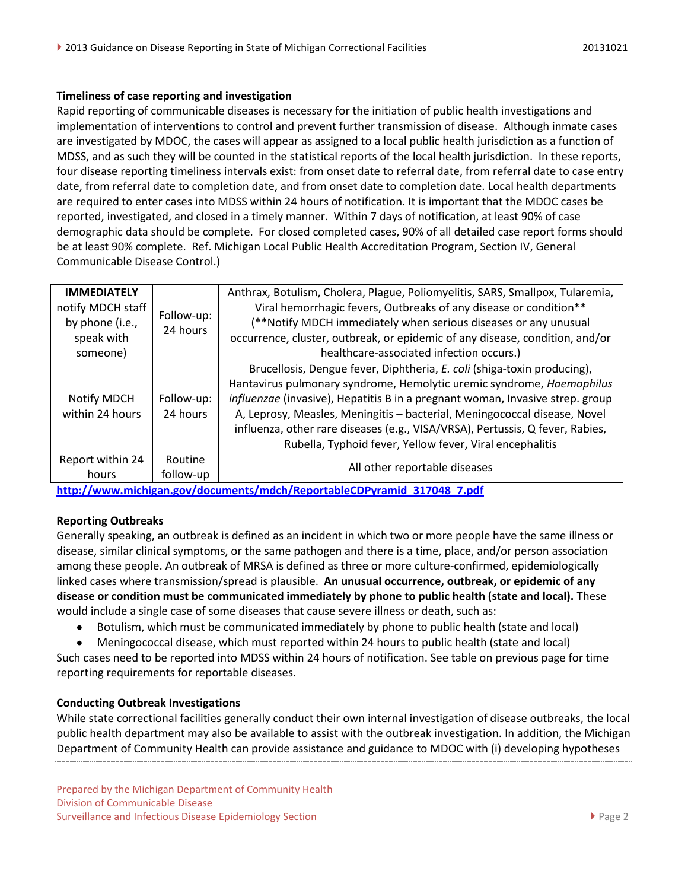#### **Timeliness of case reporting and investigation**

Rapid reporting of communicable diseases is necessary for the initiation of public health investigations and implementation of interventions to control and prevent further transmission of disease. Although inmate cases are investigated by MDOC, the cases will appear as assigned to a local public health jurisdiction as a function of MDSS, and as such they will be counted in the statistical reports of the local health jurisdiction. In these reports, four disease reporting timeliness intervals exist: from onset date to referral date, from referral date to case entry date, from referral date to completion date, and from onset date to completion date. Local health departments are required to enter cases into MDSS within 24 hours of notification. It is important that the MDOC cases be reported, investigated, and closed in a timely manner. Within 7 days of notification, at least 90% of case demographic data should be complete. For closed completed cases, 90% of all detailed case report forms should be at least 90% complete. Ref. Michigan Local Public Health Accreditation Program, Section IV, General Communicable Disease Control.)

| <b>IMMEDIATELY</b> |            | Anthrax, Botulism, Cholera, Plague, Poliomyelitis, SARS, Smallpox, Tularemia, |  |  |  |
|--------------------|------------|-------------------------------------------------------------------------------|--|--|--|
| notify MDCH staff  | Follow-up: | Viral hemorrhagic fevers, Outbreaks of any disease or condition**             |  |  |  |
| by phone (i.e.,    | 24 hours   | (**Notify MDCH immediately when serious diseases or any unusual               |  |  |  |
| speak with         |            | occurrence, cluster, outbreak, or epidemic of any disease, condition, and/or  |  |  |  |
| someone)           |            | healthcare-associated infection occurs.)                                      |  |  |  |
|                    |            | Brucellosis, Dengue fever, Diphtheria, E. coli (shiga-toxin producing),       |  |  |  |
|                    |            | Hantavirus pulmonary syndrome, Hemolytic uremic syndrome, Haemophilus         |  |  |  |
| Notify MDCH        | Follow-up: | influenzae (invasive), Hepatitis B in a pregnant woman, Invasive strep. group |  |  |  |
| within 24 hours    | 24 hours   | A, Leprosy, Measles, Meningitis - bacterial, Meningococcal disease, Novel     |  |  |  |
|                    |            | influenza, other rare diseases (e.g., VISA/VRSA), Pertussis, Q fever, Rabies, |  |  |  |
|                    |            | Rubella, Typhoid fever, Yellow fever, Viral encephalitis                      |  |  |  |
| Report within 24   | Routine    | All other reportable diseases                                                 |  |  |  |
| hours              | follow-up  |                                                                               |  |  |  |
|                    |            |                                                                               |  |  |  |

**[http://www.michigan.gov/documents/mdch/ReportableCDPyramid\\_317048\\_7.pdf](http://www.michigan.gov/documents/mdch/ReportableCDPyramid_317048_7.pdf)**

## **Reporting Outbreaks**

Generally speaking, an outbreak is defined as an incident in which two or more people have the same illness or disease, similar clinical symptoms, or the same pathogen and there is a time, place, and/or person association among these people. An outbreak of MRSA is defined as three or more culture-confirmed, epidemiologically linked cases where transmission/spread is plausible. **An unusual occurrence, outbreak, or epidemic of any disease or condition must be communicated immediately by phone to public health (state and local).** These would include a single case of some diseases that cause severe illness or death, such as:

- Botulism, which must be communicated immediately by phone to public health (state and local)
- Meningococcal disease, which must reported within 24 hours to public health (state and local)  $\bullet$

Such cases need to be reported into MDSS within 24 hours of notification. See table on previous page for time reporting requirements for reportable diseases.

## **Conducting Outbreak Investigations**

While state correctional facilities generally conduct their own internal investigation of disease outbreaks, the local public health department may also be available to assist with the outbreak investigation. In addition, the Michigan Department of Community Health can provide assistance and guidance to MDOC with (i) developing hypotheses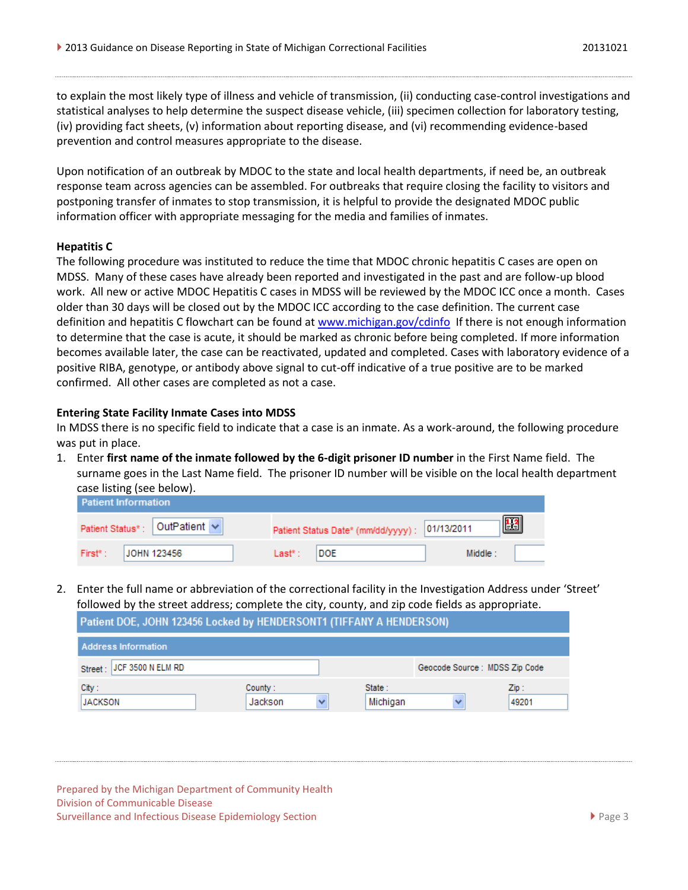to explain the most likely type of illness and vehicle of transmission, (ii) conducting case-control investigations and statistical analyses to help determine the suspect disease vehicle, (iii) specimen collection for laboratory testing, (iv) providing fact sheets, (v) information about reporting disease, and (vi) recommending evidence-based prevention and control measures appropriate to the disease.

Upon notification of an outbreak by MDOC to the state and local health departments, if need be, an outbreak response team across agencies can be assembled. For outbreaks that require closing the facility to visitors and postponing transfer of inmates to stop transmission, it is helpful to provide the designated MDOC public information officer with appropriate messaging for the media and families of inmates.

#### **Hepatitis C**

The following procedure was instituted to reduce the time that MDOC chronic hepatitis C cases are open on MDSS. Many of these cases have already been reported and investigated in the past and are follow-up blood work. All new or active MDOC Hepatitis C cases in MDSS will be reviewed by the MDOC ICC once a month. Cases older than 30 days will be closed out by the MDOC ICC according to the case definition. The current case definition and hepatitis C flowchart can be found at [www.michigan.gov/cdinfo](http://www.michigan.gov/cdinfo) If there is not enough information to determine that the case is acute, it should be marked as chronic before being completed. If more information becomes available later, the case can be reactivated, updated and completed. Cases with laboratory evidence of a positive RIBA, genotype, or antibody above signal to cut-off indicative of a true positive are to be marked confirmed. All other cases are completed as not a case.

#### **Entering State Facility Inmate Cases into MDSS**

In MDSS there is no specific field to indicate that a case is an inmate. As a work-around, the following procedure was put in place.

1. Enter **first name of the inmate followed by the 6-digit prisoner ID number** in the First Name field. The surname goes in the Last Name field. The prisoner ID number will be visible on the local health department case listing (see below).

| <b>Patient Information</b>    |                                                                  |  |  |  |  |  |
|-------------------------------|------------------------------------------------------------------|--|--|--|--|--|
| Patient Status*: OutPatient v | $ \mathbf{H} $<br>Patient Status Date* (mm/dd/yyyy) : 01/13/2011 |  |  |  |  |  |
| First* :<br>JOHN 123456       | <b>DOE</b><br>Middle:<br>Last* :                                 |  |  |  |  |  |

2. Enter the full name or abbreviation of the correctional facility in the Investigation Address under 'Street' followed by the street address; complete the city, county, and zip code fields as appropriate.

| Patient DOE, JOHN 123436 LOCKEG by HENDERSONTT (TIFFANY A HENDERSON) |                    |                    |                               |                          |  |  |  |
|----------------------------------------------------------------------|--------------------|--------------------|-------------------------------|--------------------------|--|--|--|
| <b>Address Information</b>                                           |                    |                    |                               |                          |  |  |  |
| Street: JCF 3500 N ELM RD                                            |                    |                    | Geocode Source: MDSS Zip Code |                          |  |  |  |
| City:<br>JACKSON                                                     | County:<br>Jackson | State:<br>Michigan |                               | $\mathsf{Zip}:$<br>49201 |  |  |  |

Prepared by the Michigan Department of Community Health Division of Communicable Disease Surveillance and Infectious Disease Epidemiology Section **Page 3** Page 3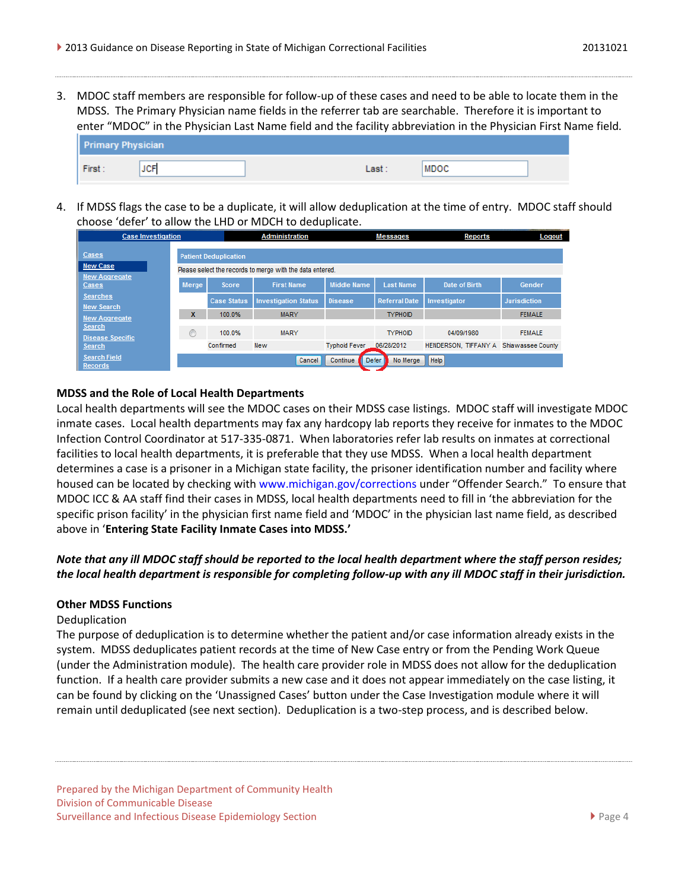3. MDOC staff members are responsible for follow-up of these cases and need to be able to locate them in the MDSS. The Primary Physician name fields in the referrer tab are searchable. Therefore it is important to enter "MDOC" in the Physician Last Name field and the facility abbreviation in the Physician First Name field.

| <b>Primary Physician</b> |            |      |             |  |  |  |
|--------------------------|------------|------|-------------|--|--|--|
| First:                   | <b>JCF</b> | Last | <b>MDOC</b> |  |  |  |

4. If MDSS flags the case to be a duplicate, it will allow deduplication at the time of entry. MDOC staff should choose 'defer' to allow the LHD or MDCH to deduplicate.

| <b>Case Investigation</b>             |                                                           |                    | <b>Administration</b>       |                      | <b>Messages</b>          | Reports                                | Logout              |
|---------------------------------------|-----------------------------------------------------------|--------------------|-----------------------------|----------------------|--------------------------|----------------------------------------|---------------------|
| Cases                                 | <b>Patient Deduplication</b>                              |                    |                             |                      |                          |                                        |                     |
| <b>New Case</b>                       | Please select the records to merge with the data entered. |                    |                             |                      |                          |                                        |                     |
| <b>New Aggregate</b><br>Cases         | Merge                                                     | <b>Score</b>       | <b>First Name</b>           | <b>Middle Name</b>   | <b>Last Name</b>         | Date of Birth                          | Gender              |
| <b>Searches</b><br><b>New Search</b>  |                                                           | <b>Case Status</b> | <b>Investigation Status</b> | <b>Disease</b>       | <b>Referral Date</b>     | Investigator                           | <b>Jurisdiction</b> |
| <b>New Aggregate</b>                  | X                                                         | 100.0%             | <b>MARY</b>                 |                      | <b>TYPHOID</b>           |                                        | <b>FEMALE</b>       |
| Search<br><b>Disease Specific</b>     | ⋒                                                         | 100.0%             | <b>MARY</b>                 |                      | <b>TYPHOID</b>           | 04/09/1980                             | <b>FEMALE</b>       |
| <b>Search</b>                         |                                                           | Confirmed          | <b>New</b>                  | <b>Typhoid Fever</b> | 06/28/2012               | HENDERSON, TIFFANY A Shiawassee County |                     |
| <b>Search Field</b><br><b>Records</b> |                                                           |                    | Cancel                      | Continue             | No Merge   Help<br>Defer |                                        |                     |

## **MDSS and the Role of Local Health Departments**

Local health departments will see the MDOC cases on their MDSS case listings. MDOC staff will investigate MDOC inmate cases. Local health departments may fax any hardcopy lab reports they receive for inmates to the MDOC Infection Control Coordinator at 517-335-0871. When laboratories refer lab results on inmates at correctional facilities to local health departments, it is preferable that they use MDSS. When a local health department determines a case is a prisoner in a Michigan state facility, the prisoner identification number and facility where housed can be located by checking with www.michigan.gov/corrections under "Offender Search." To ensure that MDOC ICC & AA staff find their cases in MDSS, local health departments need to fill in 'the abbreviation for the specific prison facility' in the physician first name field and 'MDOC' in the physician last name field, as described above in '**Entering State Facility Inmate Cases into MDSS.'**

## *Note that any ill MDOC staff should be reported to the local health department where the staff person resides; the local health department is responsible for completing follow-up with any ill MDOC staff in their jurisdiction.*

## **Other MDSS Functions**

#### Deduplication

The purpose of deduplication is to determine whether the patient and/or case information already exists in the system. MDSS deduplicates patient records at the time of New Case entry or from the Pending Work Queue (under the Administration module). The health care provider role in MDSS does not allow for the deduplication function. If a health care provider submits a new case and it does not appear immediately on the case listing, it can be found by clicking on the 'Unassigned Cases' button under the Case Investigation module where it will remain until deduplicated (see next section). Deduplication is a two-step process, and is described below.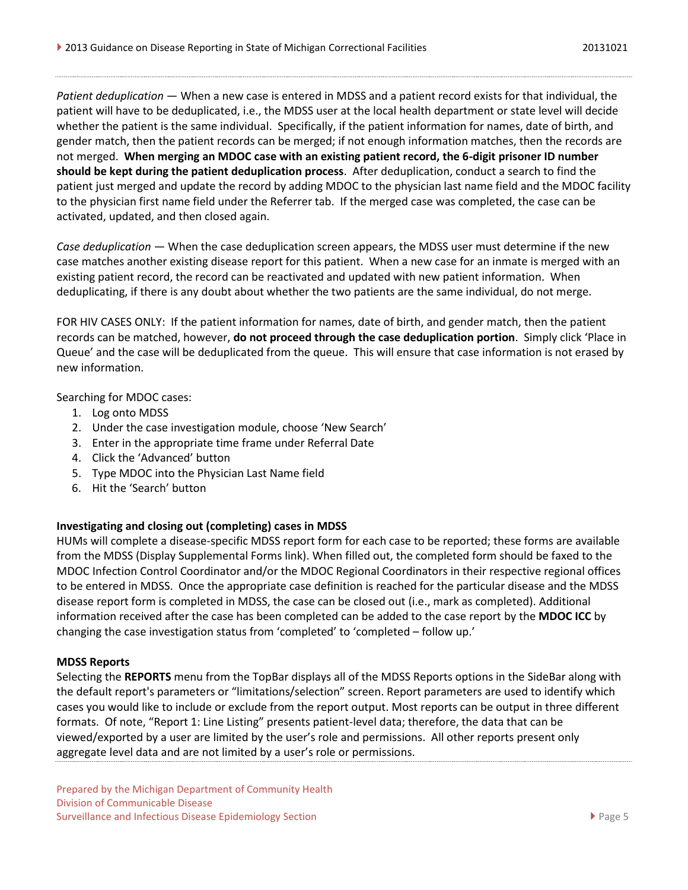*Patient deduplication* ― When a new case is entered in MDSS and a patient record exists for that individual, the patient will have to be deduplicated, i.e., the MDSS user at the local health department or state level will decide whether the patient is the same individual. Specifically, if the patient information for names, date of birth, and gender match, then the patient records can be merged; if not enough information matches, then the records are not merged. **When merging an MDOC case with an existing patient record, the 6-digit prisoner ID number should be kept during the patient deduplication process**. After deduplication, conduct a search to find the patient just merged and update the record by adding MDOC to the physician last name field and the MDOC facility to the physician first name field under the Referrer tab. If the merged case was completed, the case can be activated, updated, and then closed again.

*Case deduplication* — When the case deduplication screen appears, the MDSS user must determine if the new case matches another existing disease report for this patient. When a new case for an inmate is merged with an existing patient record, the record can be reactivated and updated with new patient information. When deduplicating, if there is any doubt about whether the two patients are the same individual, do not merge.

FOR HIV CASES ONLY: If the patient information for names, date of birth, and gender match, then the patient records can be matched, however, **do not proceed through the case deduplication portion**. Simply click 'Place in Queue' and the case will be deduplicated from the queue. This will ensure that case information is not erased by new information.

Searching for MDOC cases:

- 1. Log onto MDSS
- 2. Under the case investigation module, choose 'New Search'
- 3. Enter in the appropriate time frame under Referral Date
- 4. Click the 'Advanced' button
- 5. Type MDOC into the Physician Last Name field
- 6. Hit the 'Search' button

## **Investigating and closing out (completing) cases in MDSS**

HUMs will complete a disease-specific MDSS report form for each case to be reported; these forms are available from the MDSS (Display Supplemental Forms link). When filled out, the completed form should be faxed to the MDOC Infection Control Coordinator and/or the MDOC Regional Coordinators in their respective regional offices to be entered in MDSS. Once the appropriate case definition is reached for the particular disease and the MDSS disease report form is completed in MDSS, the case can be closed out (i.e., mark as completed). Additional information received after the case has been completed can be added to the case report by the **MDOC ICC** by changing the case investigation status from 'completed' to 'completed – follow up.'

#### **MDSS Reports**

Selecting the **REPORTS** menu from the TopBar displays all of the MDSS Reports options in the SideBar along with the default report's parameters or "limitations/selection" screen. Report parameters are used to identify which cases you would like to include or exclude from the report output. Most reports can be output in three different formats. Of note, "Report 1: Line Listing" presents patient-level data; therefore, the data that can be viewed/exported by a user are limited by the user's role and permissions. All other reports present only aggregate level data and are not limited by a user's role or permissions.

Prepared by the Michigan Department of Community Health Division of Communicable Disease Surveillance and Infectious Disease Epidemiology Section **Page 5** Page 5